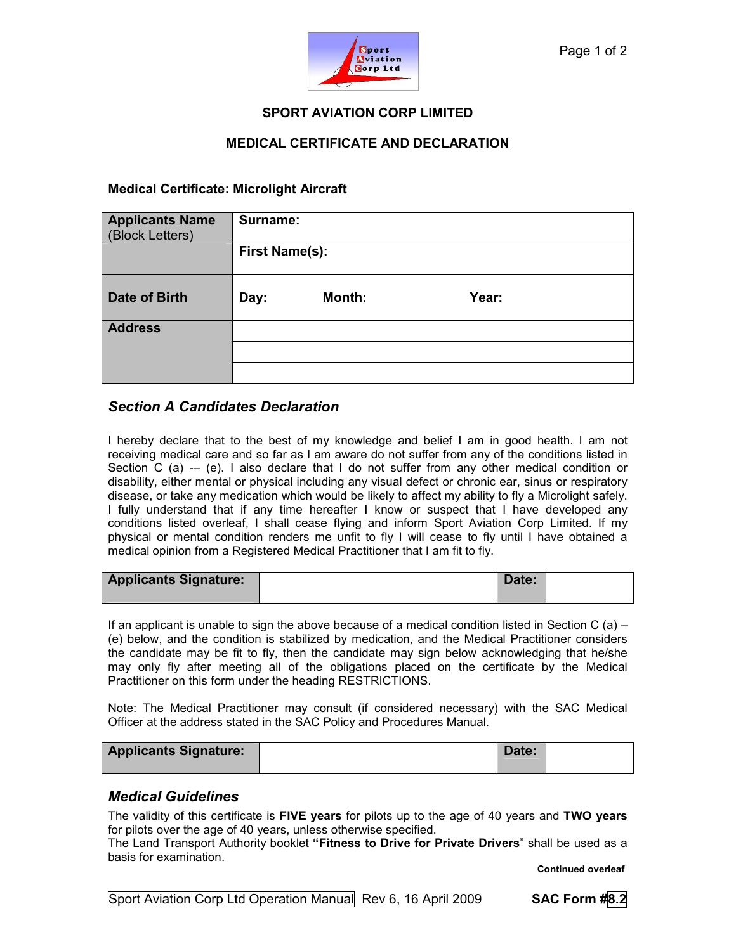

### SPORT AVIATION CORP LIMITED

### MEDICAL CERTIFICATE AND DECLARATION

### Medical Certificate: Microlight Aircraft

| <b>Applicants Name</b><br>(Block Letters) | Surname:              |        |       |  |
|-------------------------------------------|-----------------------|--------|-------|--|
|                                           | <b>First Name(s):</b> |        |       |  |
| Date of Birth                             | Day:                  | Month: | Year: |  |
| <b>Address</b>                            |                       |        |       |  |
|                                           |                       |        |       |  |
|                                           |                       |        |       |  |

## Section A Candidates Declaration

I hereby declare that to the best of my knowledge and belief I am in good health. I am not receiving medical care and so far as I am aware do not suffer from any of the conditions listed in Section C (a)  $-$  (e). I also declare that I do not suffer from any other medical condition or disability, either mental or physical including any visual defect or chronic ear, sinus or respiratory disease, or take any medication which would be likely to affect my ability to fly a Microlight safely. I fully understand that if any time hereafter I know or suspect that I have developed any conditions listed overleaf, I shall cease flying and inform Sport Aviation Corp Limited. If my physical or mental condition renders me unfit to fly I will cease to fly until I have obtained a medical opinion from a Registered Medical Practitioner that I am fit to fly.

| <b>Applicants Signature:</b> | Date: |  |
|------------------------------|-------|--|
|------------------------------|-------|--|

If an applicant is unable to sign the above because of a medical condition listed in Section C (a) – (e) below, and the condition is stabilized by medication, and the Medical Practitioner considers the candidate may be fit to fly, then the candidate may sign below acknowledging that he/she may only fly after meeting all of the obligations placed on the certificate by the Medical Practitioner on this form under the heading RESTRICTIONS.

Note: The Medical Practitioner may consult (if considered necessary) with the SAC Medical Officer at the address stated in the SAC Policy and Procedures Manual.

| <b>Applicants Signature:</b> | Date: |  |
|------------------------------|-------|--|
|                              |       |  |

#### Medical Guidelines

The validity of this certificate is FIVE years for pilots up to the age of 40 years and TWO years for pilots over the age of 40 years, unless otherwise specified.

The Land Transport Authority booklet "Fitness to Drive for Private Drivers" shall be used as a basis for examination.

Continued overleaf